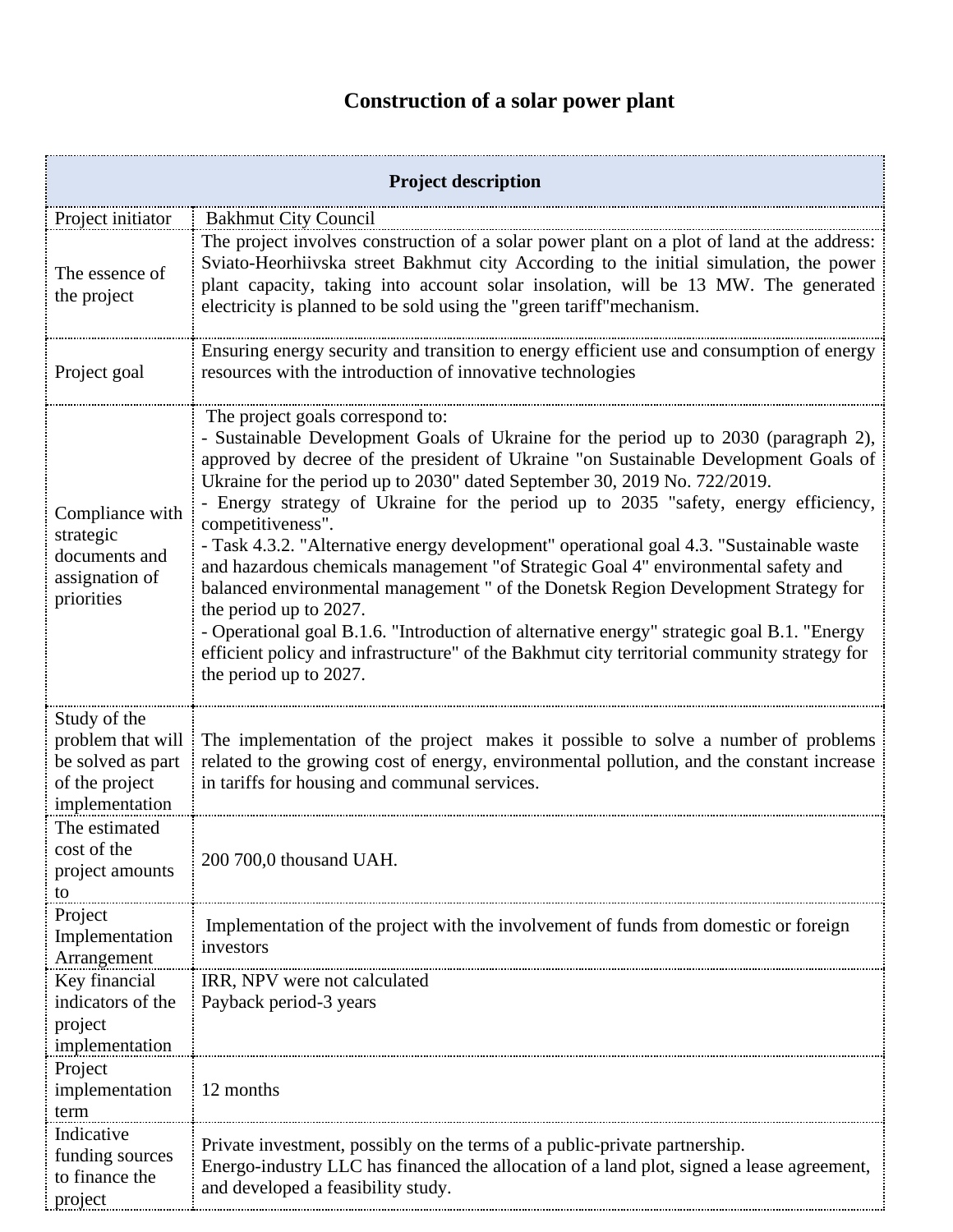## **Construction of a solar power plant**

| <b>Project description</b>                                                                 |                                                                                                                                                                                                                                                                                                                                                                                                                                                                                                                                                                                                                                                                                                                                                                                                                                                                                                                               |  |
|--------------------------------------------------------------------------------------------|-------------------------------------------------------------------------------------------------------------------------------------------------------------------------------------------------------------------------------------------------------------------------------------------------------------------------------------------------------------------------------------------------------------------------------------------------------------------------------------------------------------------------------------------------------------------------------------------------------------------------------------------------------------------------------------------------------------------------------------------------------------------------------------------------------------------------------------------------------------------------------------------------------------------------------|--|
| Project initiator                                                                          | <b>Bakhmut City Council</b>                                                                                                                                                                                                                                                                                                                                                                                                                                                                                                                                                                                                                                                                                                                                                                                                                                                                                                   |  |
| The essence of<br>the project                                                              | The project involves construction of a solar power plant on a plot of land at the address:<br>Sviato-Heorhiivska street Bakhmut city According to the initial simulation, the power<br>plant capacity, taking into account solar insolation, will be 13 MW. The generated<br>electricity is planned to be sold using the "green tariff" mechanism.                                                                                                                                                                                                                                                                                                                                                                                                                                                                                                                                                                            |  |
| Project goal                                                                               | Ensuring energy security and transition to energy efficient use and consumption of energy<br>resources with the introduction of innovative technologies                                                                                                                                                                                                                                                                                                                                                                                                                                                                                                                                                                                                                                                                                                                                                                       |  |
| Compliance with<br>strategic<br>documents and<br>assignation of<br>priorities              | The project goals correspond to:<br>- Sustainable Development Goals of Ukraine for the period up to 2030 (paragraph 2),<br>approved by decree of the president of Ukraine "on Sustainable Development Goals of<br>Ukraine for the period up to 2030" dated September 30, 2019 No. 722/2019.<br>- Energy strategy of Ukraine for the period up to 2035 "safety, energy efficiency,<br>competitiveness".<br>- Task 4.3.2. "Alternative energy development" operational goal 4.3. "Sustainable waste<br>and hazardous chemicals management "of Strategic Goal 4" environmental safety and<br>balanced environmental management " of the Donetsk Region Development Strategy for<br>the period up to 2027.<br>- Operational goal B.1.6. "Introduction of alternative energy" strategic goal B.1. "Energy<br>efficient policy and infrastructure" of the Bakhmut city territorial community strategy for<br>the period up to 2027. |  |
| Study of the<br>problem that will<br>be solved as part<br>of the project<br>implementation | The implementation of the project makes it possible to solve a number of problems<br>related to the growing cost of energy, environmental pollution, and the constant increase<br>in tariffs for housing and communal services.                                                                                                                                                                                                                                                                                                                                                                                                                                                                                                                                                                                                                                                                                               |  |
| The estimated<br>cost of the<br>project amounts<br>to                                      | 200 700,0 thousand UAH.                                                                                                                                                                                                                                                                                                                                                                                                                                                                                                                                                                                                                                                                                                                                                                                                                                                                                                       |  |
| Project<br>Implementation<br>Arrangement                                                   | Implementation of the project with the involvement of funds from domestic or foreign<br>investors                                                                                                                                                                                                                                                                                                                                                                                                                                                                                                                                                                                                                                                                                                                                                                                                                             |  |
| Key financial<br>indicators of the<br>project<br>implementation                            | IRR, NPV were not calculated<br>Payback period-3 years                                                                                                                                                                                                                                                                                                                                                                                                                                                                                                                                                                                                                                                                                                                                                                                                                                                                        |  |
| Project<br>implementation<br>term                                                          | 12 months                                                                                                                                                                                                                                                                                                                                                                                                                                                                                                                                                                                                                                                                                                                                                                                                                                                                                                                     |  |
| Indicative<br>funding sources<br>to finance the<br>project                                 | Private investment, possibly on the terms of a public-private partnership.<br>Energo-industry LLC has financed the allocation of a land plot, signed a lease agreement,<br>and developed a feasibility study.                                                                                                                                                                                                                                                                                                                                                                                                                                                                                                                                                                                                                                                                                                                 |  |